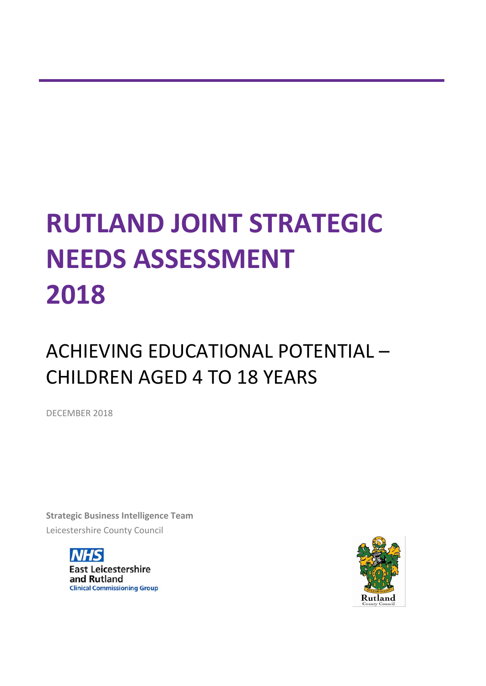# **RUTLAND JOINT STRATEGIC NEEDS ASSESSMENT 2018**

# ACHIEVING EDUCATIONAL POTENTIAL – CHILDREN AGED 4 TO 18 YEARS

DECEMBER 2018

**Strategic Business Intelligence Team** Leicestershire County Council



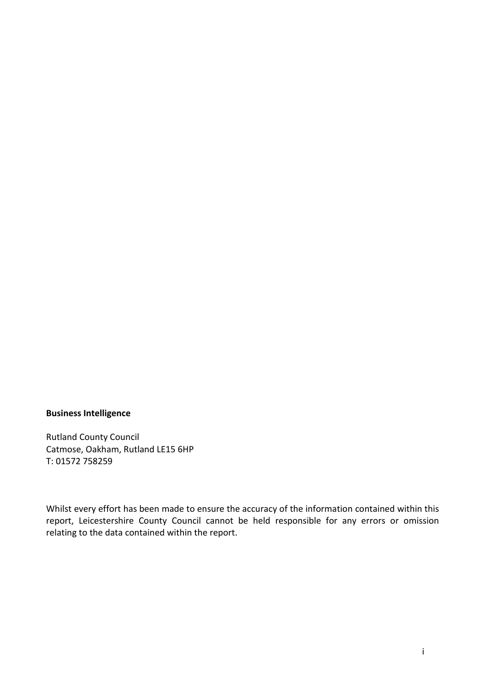## **Business Intelligence**

Rutland County Council Catmose, Oakham, Rutland LE15 6HP T: 01572 758259

Whilst every effort has been made to ensure the accuracy of the information contained within this report, Leicestershire County Council cannot be held responsible for any errors or omission relating to the data contained within the report.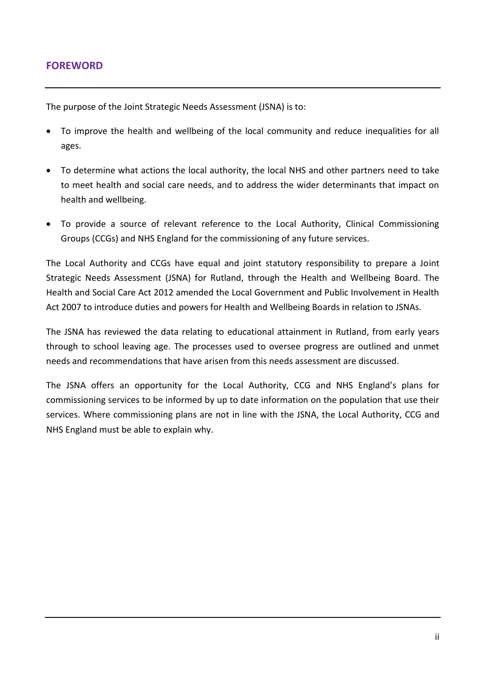The purpose of the Joint Strategic Needs Assessment (JSNA) is to:

- To improve the health and wellbeing of the local community and reduce inequalities for all ages.
- To determine what actions the local authority, the local NHS and other partners need to take to meet health and social care needs, and to address the wider determinants that impact on health and wellbeing.
- To provide a source of relevant reference to the Local Authority, Clinical Commissioning Groups (CCGs) and NHS England for the commissioning of any future services.

The Local Authority and CCGs have equal and joint statutory responsibility to prepare a Joint Strategic Needs Assessment (JSNA) for Rutland, through the Health and Wellbeing Board. The Health and Social Care Act 2012 amended the Local Government and Public Involvement in Health Act 2007 to introduce duties and powers for Health and Wellbeing Boards in relation to JSNAs.

The JSNA has reviewed the data relating to educational attainment in Rutland, from early years through to school leaving age. The processes used to oversee progress are outlined and unmet needs and recommendations that have arisen from this needs assessment are discussed.

The JSNA offers an opportunity for the Local Authority, CCG and NHS England's plans for commissioning services to be informed by up to date information on the population that use their services. Where commissioning plans are not in line with the JSNA, the Local Authority, CCG and NHS England must be able to explain why.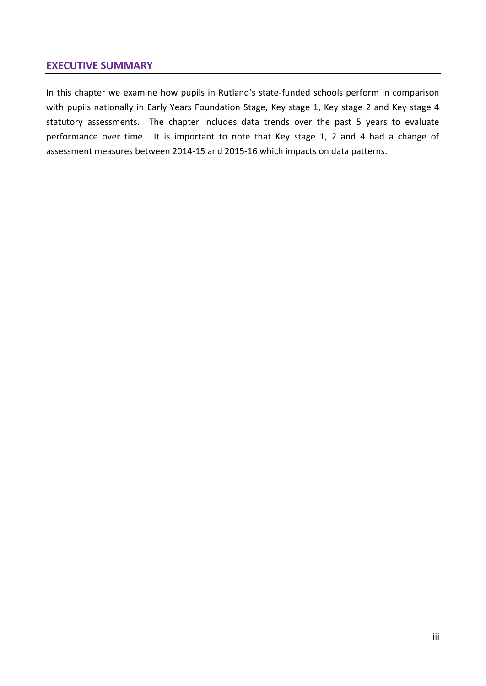# **EXECUTIVE SUMMARY**

In this chapter we examine how pupils in Rutland's state-funded schools perform in comparison with pupils nationally in Early Years Foundation Stage, Key stage 1, Key stage 2 and Key stage 4 statutory assessments. The chapter includes data trends over the past 5 years to evaluate performance over time. It is important to note that Key stage 1, 2 and 4 had a change of assessment measures between 2014-15 and 2015-16 which impacts on data patterns.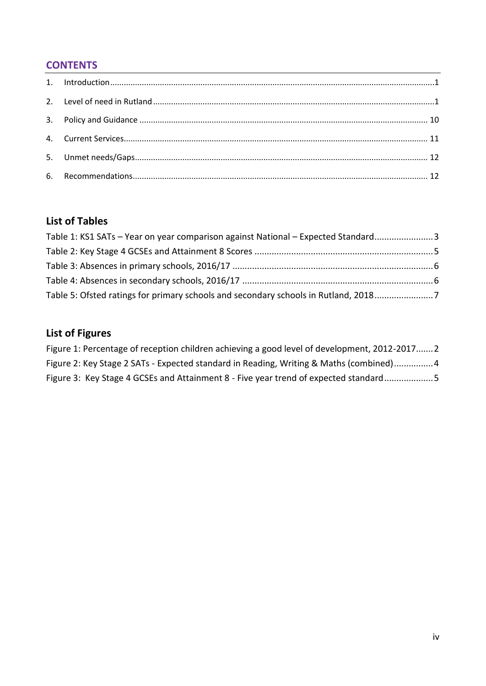# **CONTENTS**

# **List of Tables**

| Table 1: KS1 SATs - Year on year comparison against National - Expected Standard3   |  |
|-------------------------------------------------------------------------------------|--|
|                                                                                     |  |
|                                                                                     |  |
|                                                                                     |  |
| Table 5: Ofsted ratings for primary schools and secondary schools in Rutland, 20187 |  |

# **List of Figures**

| Figure 1: Percentage of reception children achieving a good level of development, 2012-20172 |  |
|----------------------------------------------------------------------------------------------|--|
| Figure 2: Key Stage 2 SATs - Expected standard in Reading, Writing & Maths (combined)4       |  |
| Figure 3: Key Stage 4 GCSEs and Attainment 8 - Five year trend of expected standard5         |  |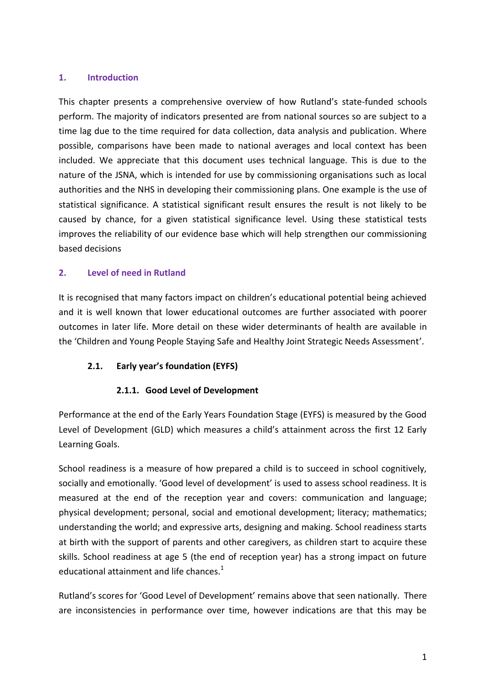#### <span id="page-5-0"></span>**1. Introduction**

This chapter presents a comprehensive overview of how Rutland's state-funded schools perform. The majority of indicators presented are from national sources so are subject to a time lag due to the time required for data collection, data analysis and publication. Where possible, comparisons have been made to national averages and local context has been included. We appreciate that this document uses technical language. This is due to the nature of the JSNA, which is intended for use by commissioning organisations such as local authorities and the NHS in developing their commissioning plans. One example is the use of statistical significance. A statistical significant result ensures the result is not likely to be caused by chance, for a given statistical significance level. Using these statistical tests improves the reliability of our evidence base which will help strengthen our commissioning based decisions

#### <span id="page-5-1"></span>**2. Level of need in Rutland**

It is recognised that many factors impact on children's educational potential being achieved and it is well known that lower educational outcomes are further associated with poorer outcomes in later life. More detail on these wider determinants of health are available in the 'Children and Young People Staying Safe and Healthy Joint Strategic Needs Assessment'.

### **2.1. Early year's foundation (EYFS)**

### **2.1.1. Good Level of Development**

Performance at the end of the Early Years Foundation Stage (EYFS) is measured by the Good Level of Development (GLD) which measures a child's attainment across the first 12 Early Learning Goals.

School readiness is a measure of how prepared a child is to succeed in school cognitively, socially and emotionally. 'Good level of development' is used to assess school readiness. It is measured at the end of the reception year and covers: communication and language; physical development; personal, social and emotional development; literacy; mathematics; understanding the world; and expressive arts, designing and making. School readiness starts at birth with the support of parents and other caregivers, as children start to acquire these skills. School readiness at age 5 (the end of reception year) has a strong impact on future educational attainment and life chances. $1$ 

Rutland's scores for 'Good Level of Development' remains above that seen nationally. There are inconsistencies in performance over time, however indications are that this may be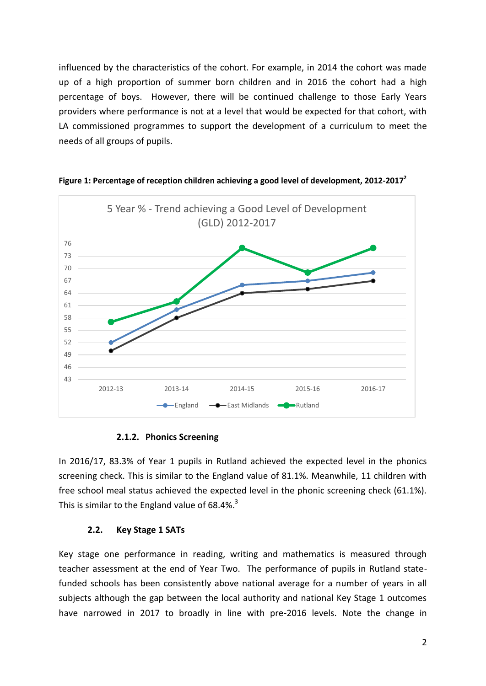influenced by the characteristics of the cohort. For example, in 2014 the cohort was made up of a high proportion of summer born children and in 2016 the cohort had a high percentage of boys. However, there will be continued challenge to those Early Years providers where performance is not at a level that would be expected for that cohort, with LA commissioned programmes to support the development of a curriculum to meet the needs of all groups of pupils.



<span id="page-6-0"></span>**Figure 1: Percentage of reception children achieving a good level of development, 2012-2017<sup>2</sup>**

#### <span id="page-6-1"></span>**2.1.2. Phonics Screening**

In 2016/17, 83.3% of Year 1 pupils in Rutland achieved the expected level in the phonics screening check. This is similar to the England value of 81.1%. Meanwhile, 11 children with free school meal status achieved the expected level in the phonic screening check (61.1%). This is similar to the England value of 68.4%. $3$ 

#### **2.2. Key Stage 1 SATs**

Key stage one performance in reading, writing and mathematics is measured through teacher assessment at the end of Year Two. The performance of pupils in Rutland statefunded schools has been consistently above national average for a number of years in all subjects although the gap between the local authority and national Key Stage 1 outcomes have narrowed in 2017 to broadly in line with pre-2016 levels. Note the change in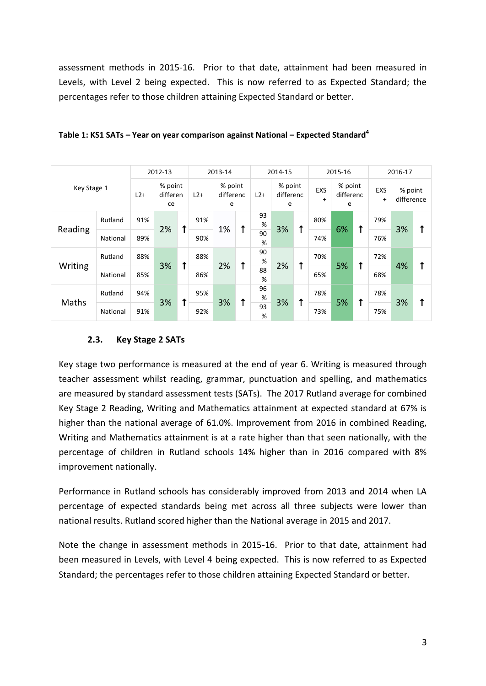assessment methods in 2015-16. Prior to that date, attainment had been measured in Levels, with Level 2 being expected. This is now referred to as Expected Standard; the percentages refer to those children attaining Expected Standard or better.

| Key Stage 1 |          | 2012-13 |                           | 2013-14 |          | 2014-15                   |    | 2015-16 |                           |            | 2016-17                 |                           |            |                  |                       |            |
|-------------|----------|---------|---------------------------|---------|----------|---------------------------|----|---------|---------------------------|------------|-------------------------|---------------------------|------------|------------------|-----------------------|------------|
|             |          | $L2+$   | % point<br>differen<br>ce |         | $L2+$    | % point<br>differenc<br>e |    | $L2+$   | % point<br>differenc<br>e |            | <b>EXS</b><br>$\ddot{}$ | % point<br>differenc<br>e |            | EXS<br>$\ddot{}$ | % point<br>difference |            |
|             | Rutland  | 91%     |                           | ↟       | 91%      |                           | ✦  | 93<br>% |                           |            | 80%                     |                           |            | 79%              |                       |            |
| Reading     | National | 89%     | 2%                        |         | 90%      | 1%                        |    | 90<br>% | 3%                        | ↑          | 74%                     | 6%                        | $\uparrow$ | 76%              | 3%                    | $\uparrow$ |
| Writing     | Rutland  | 88%     | 3%                        |         | 88%<br>↟ |                           | ↑  | 90<br>% |                           | $\uparrow$ | 70%                     |                           | $\uparrow$ | 72%              |                       |            |
|             | National | 85%     |                           |         | 86%      |                           | 2% |         | 88<br>%                   | 2%         |                         | 65%                       | 5%         |                  | 68%                   | 4%         |
| Maths       | Rutland  | 94%     |                           |         | 95%      | 3%                        | ↑  | 96<br>% |                           | 1          | 78%                     |                           | ↑          | 78%              |                       | ↑          |
|             | National | 91%     | 3%                        |         | 92%      |                           |    |         | 93<br>%                   | 3%         |                         | 73%                       | 5%         |                  | 75%                   | 3%         |

<span id="page-7-0"></span>

| Table 1: KS1 SATs – Year on year comparison against National – Expected Standard <sup>4</sup> |
|-----------------------------------------------------------------------------------------------|
|-----------------------------------------------------------------------------------------------|

### **2.3. Key Stage 2 SATs**

Key stage two performance is measured at the end of year 6. Writing is measured through teacher assessment whilst reading, grammar, punctuation and spelling, and mathematics are measured by standard assessment tests (SATs). The 2017 Rutland average for combined Key Stage 2 Reading, Writing and Mathematics attainment at expected standard at 67% is higher than the national average of 61.0%. Improvement from 2016 in combined Reading, Writing and Mathematics attainment is at a rate higher than that seen nationally, with the percentage of children in Rutland schools 14% higher than in 2016 compared with 8% improvement nationally.

Performance in Rutland schools has considerably improved from 2013 and 2014 when LA percentage of expected standards being met across all three subjects were lower than national results. Rutland scored higher than the National average in 2015 and 2017.

Note the change in assessment methods in 2015-16. Prior to that date, attainment had been measured in Levels, with Level 4 being expected. This is now referred to as Expected Standard; the percentages refer to those children attaining Expected Standard or better.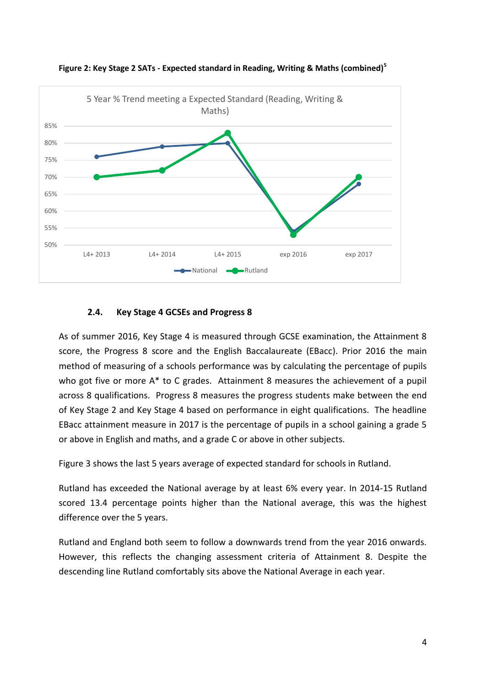

<span id="page-8-0"></span>**Figure 2: Key Stage 2 SATs - Expected standard in Reading, Writing & Maths (combined)<sup>5</sup>**

### **2.4. Key Stage 4 GCSEs and Progress 8**

As of summer 2016, Key Stage 4 is measured through GCSE examination, the Attainment 8 score, the Progress 8 score and the English Baccalaureate (EBacc). Prior 2016 the main method of measuring of a schools performance was by calculating the percentage of pupils who got five or more A\* to C grades. Attainment 8 measures the achievement of a pupil across 8 qualifications. Progress 8 measures the progress students make between the end of Key Stage 2 and Key Stage 4 based on performance in eight qualifications. The headline EBacc attainment measure in 2017 is the percentage of pupils in a school gaining a grade 5 or above in English and maths, and a grade C or above in other subjects.

[Figure 3](#page-9-1) shows the last 5 years average of expected standard for schools in Rutland.

Rutland has exceeded the National average by at least 6% every year. In 2014-15 Rutland scored 13.4 percentage points higher than the National average, this was the highest difference over the 5 years.

Rutland and England both seem to follow a downwards trend from the year 2016 onwards. However, this reflects the changing assessment criteria of Attainment 8. Despite the descending line Rutland comfortably sits above the National Average in each year.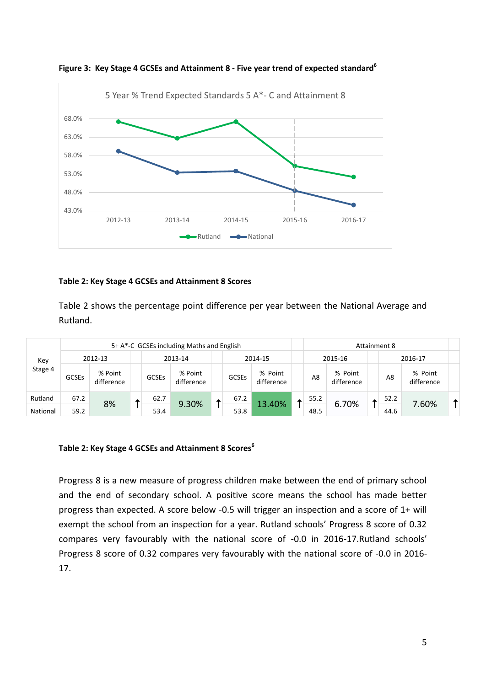

<span id="page-9-3"></span><span id="page-9-1"></span>**Figure 3: Key Stage 4 GCSEs and Attainment 8 - Five year trend of expected standard<sup>6</sup>**

#### **[Table 2: Key Stage 4 GCSEs](#page-9-2) and Attainment 8 Score[s](#page-9-2)**

[Table 2](#page-9-2) shows the percentage point difference per year between the National Average and Rutland.

|          | 5+ A*-C GCSEs including Maths and English |                       |  |              |                       |              |              |                       |      | Attainment 8 |                       |      |         |                       |  |
|----------|-------------------------------------------|-----------------------|--|--------------|-----------------------|--------------|--------------|-----------------------|------|--------------|-----------------------|------|---------|-----------------------|--|
| Key      |                                           | 2012-13               |  |              | 2013-14               |              |              | 2014-15               |      | 2015-16      |                       |      | 2016-17 |                       |  |
| Stage 4  | <b>GCSEs</b>                              | % Point<br>difference |  | <b>GCSEs</b> | % Point<br>difference |              | <b>GCSEs</b> | % Point<br>difference |      | A8           | % Point<br>difference |      | A8      | % Point<br>difference |  |
| Rutland  | 67.2                                      | 8%                    |  | 62.7         | 9.30%                 | 67.2<br>53.8 |              |                       | 55.2 | 6.70%        |                       | 52.2 |         |                       |  |
| National | 59.2                                      |                       |  | 53.4         |                       |              | 13.40%       |                       | 48.5 |              |                       | 44.6 | 7.60%   |                       |  |

#### <span id="page-9-2"></span><span id="page-9-0"></span>**Table 2: Key Stage 4 GCSEs and Attainment 8 Score[s](#page-9-3)<sup>6</sup>**

Progress 8 is a new measure of progress children make between the end of primary school and the end of secondary school. A positive score means the school has made better progress than expected. A score below -0.5 will trigger an inspection and a score of 1+ will exempt the school from an inspection for a year. Rutland schools' Progress 8 score of 0.32 compares very favourably with the national score of -0.0 in 2016-17.Rutland schools' Progress 8 score of 0.32 compares very favourably with the national score of -0.0 in 2016- 17.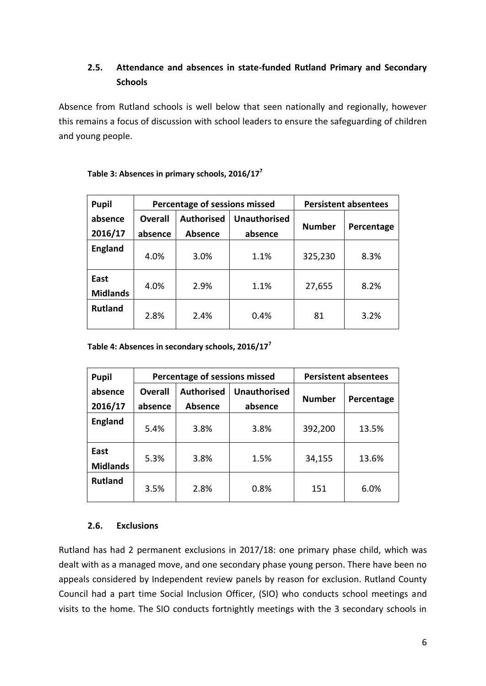# **2.5. Attendance and absences in state-funded Rutland Primary and Secondary Schools**

Absence from Rutland schools is well below that seen nationally and regionally, however this remains a focus of discussion with school leaders to ensure the safeguarding of children and young people.

| <b>Pupil</b>            |                | Percentage of sessions missed | <b>Persistent absentees</b> |               |            |  |
|-------------------------|----------------|-------------------------------|-----------------------------|---------------|------------|--|
| absence                 | <b>Overall</b> | <b>Authorised</b>             | <b>Unauthorised</b>         | <b>Number</b> |            |  |
| 2016/17                 | absence        | <b>Absence</b>                | absence                     |               | Percentage |  |
| <b>England</b>          | 4.0%           | 3.0%                          | 1.1%                        | 325,230       | 8.3%       |  |
| East<br><b>Midlands</b> | 4.0%           | 2.9%                          | 1.1%                        | 27,655        | 8.2%       |  |
| <b>Rutland</b>          | 2.8%           | 2.4%                          | 0.4%                        | 81            | 3.2%       |  |

<span id="page-10-2"></span><span id="page-10-0"></span>**Table 3: Absences in primary schools, 2016/17<sup>7</sup>**

<span id="page-10-1"></span>**Table 4: Absences in secondary schools, 2016/17[7](#page-10-2)**

| <b>Pupil</b>            |                           | Percentage of sessions missed       | <b>Persistent absentees</b>    |               |            |  |
|-------------------------|---------------------------|-------------------------------------|--------------------------------|---------------|------------|--|
| absence<br>2016/17      | <b>Overall</b><br>absence | <b>Authorised</b><br><b>Absence</b> | <b>Unauthorised</b><br>absence | <b>Number</b> | Percentage |  |
| <b>England</b>          | 5.4%                      | 3.8%                                | 3.8%                           | 392,200       | 13.5%      |  |
| East<br><b>Midlands</b> | 5.3%                      | 3.8%                                | 1.5%                           | 34,155        | 13.6%      |  |
| <b>Rutland</b>          | 3.5%                      | 2.8%                                | 0.8%                           | 151           | 6.0%       |  |

# **2.6. Exclusions**

Rutland has had 2 permanent exclusions in 2017/18: one primary phase child, which was dealt with as a managed move, and one secondary phase young person. There have been no appeals considered by Independent review panels by reason for exclusion. Rutland County Council had a part time Social Inclusion Officer, (SIO) who conducts school meetings and visits to the home. The SIO conducts fortnightly meetings with the 3 secondary schools in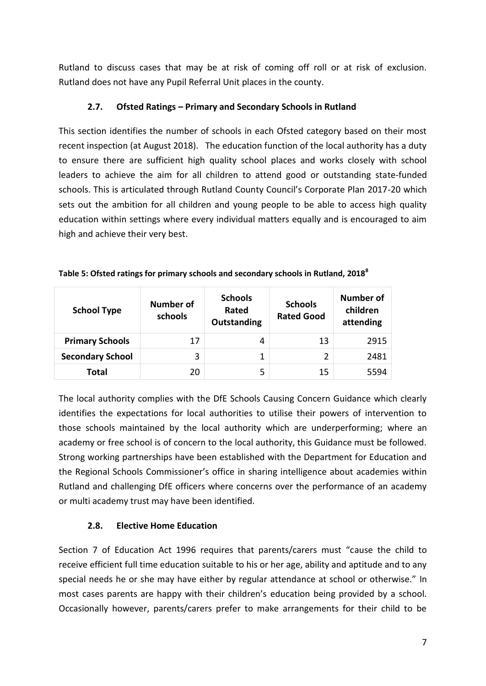Rutland to discuss cases that may be at risk of coming off roll or at risk of exclusion. Rutland does not have any Pupil Referral Unit places in the county.

# **2.7. Ofsted Ratings – Primary and Secondary Schools in Rutland**

This section identifies the number of schools in each Ofsted category based on their most recent inspection (at August 2018). The education function of the local authority has a duty to ensure there are sufficient high quality school places and works closely with school leaders to achieve the aim for all children to attend good or outstanding state-funded schools. This is articulated through Rutland County Council's Corporate Plan 2017-20 which sets out the ambition for all children and young people to be able to access high quality education within settings where every individual matters equally and is encouraged to aim high and achieve their very best.

| <b>School Type</b>      | Number of<br>schools | <b>Schools</b><br>Rated<br>Outstanding | <b>Schools</b><br><b>Rated Good</b> | Number of<br>children<br>attending |
|-------------------------|----------------------|----------------------------------------|-------------------------------------|------------------------------------|
| <b>Primary Schools</b>  | 17                   | 4                                      | 13                                  | 2915                               |
| <b>Secondary School</b> | 3                    | 1                                      | 2                                   | 2481                               |
| Total                   | 20                   | 5                                      | 15                                  | 5594                               |

<span id="page-11-0"></span>

| Table 5: Ofsted ratings for primary schools and secondary schools in Rutland, 2018 <sup>8</sup> |  |  |  |  |  |  |  |  |
|-------------------------------------------------------------------------------------------------|--|--|--|--|--|--|--|--|
|-------------------------------------------------------------------------------------------------|--|--|--|--|--|--|--|--|

The local authority complies with the DfE Schools Causing Concern Guidance which clearly identifies the expectations for local authorities to utilise their powers of intervention to those schools maintained by the local authority which are underperforming; where an academy or free school is of concern to the local authority, this Guidance must be followed. Strong working partnerships have been established with the Department for Education and the Regional Schools Commissioner's office in sharing intelligence about academies within Rutland and challenging DfE officers where concerns over the performance of an academy or multi academy trust may have been identified.

# **2.8. Elective Home Education**

Section 7 of Education Act 1996 requires that parents/carers must "cause the child to receive efficient full time education suitable to his or her age, ability and aptitude and to any special needs he or she may have either by regular attendance at school or otherwise." In most cases parents are happy with their children's education being provided by a school. Occasionally however, parents/carers prefer to make arrangements for their child to be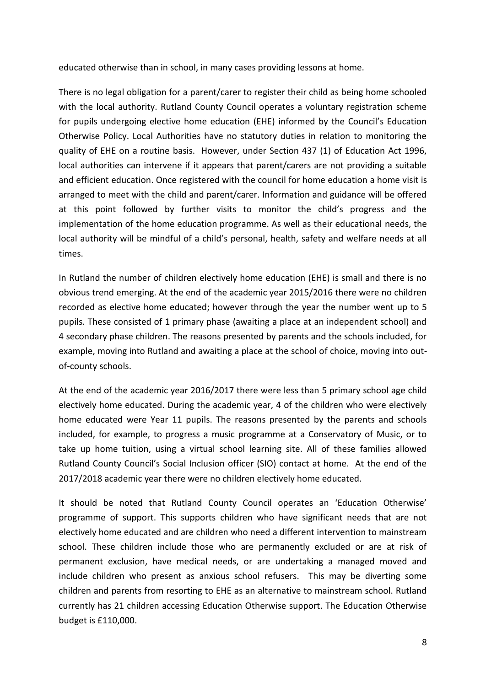educated otherwise than in school, in many cases providing lessons at home.

There is no legal obligation for a parent/carer to register their child as being home schooled with the local authority. Rutland County Council operates a voluntary registration scheme for pupils undergoing elective home education (EHE) informed by the Council's Education Otherwise Policy. Local Authorities have no statutory duties in relation to monitoring the quality of EHE on a routine basis. However, under Section 437 (1) of Education Act 1996, local authorities can intervene if it appears that parent/carers are not providing a suitable and efficient education. Once registered with the council for home education a home visit is arranged to meet with the child and parent/carer. Information and guidance will be offered at this point followed by further visits to monitor the child's progress and the implementation of the home education programme. As well as their educational needs, the local authority will be mindful of a child's personal, health, safety and welfare needs at all times.

In Rutland the number of children electively home education (EHE) is small and there is no obvious trend emerging. At the end of the academic year 2015/2016 there were no children recorded as elective home educated; however through the year the number went up to 5 pupils. These consisted of 1 primary phase (awaiting a place at an independent school) and 4 secondary phase children. The reasons presented by parents and the schools included, for example, moving into Rutland and awaiting a place at the school of choice, moving into outof-county schools.

At the end of the academic year 2016/2017 there were less than 5 primary school age child electively home educated. During the academic year, 4 of the children who were electively home educated were Year 11 pupils. The reasons presented by the parents and schools included, for example, to progress a music programme at a Conservatory of Music, or to take up home tuition, using a virtual school learning site. All of these families allowed Rutland County Council's Social Inclusion officer (SIO) contact at home. At the end of the 2017/2018 academic year there were no children electively home educated.

It should be noted that Rutland County Council operates an 'Education Otherwise' programme of support. This supports children who have significant needs that are not electively home educated and are children who need a different intervention to mainstream school. These children include those who are permanently excluded or are at risk of permanent exclusion, have medical needs, or are undertaking a managed moved and include children who present as anxious school refusers. This may be diverting some children and parents from resorting to EHE as an alternative to mainstream school. Rutland currently has 21 children accessing Education Otherwise support. The Education Otherwise budget is £110,000.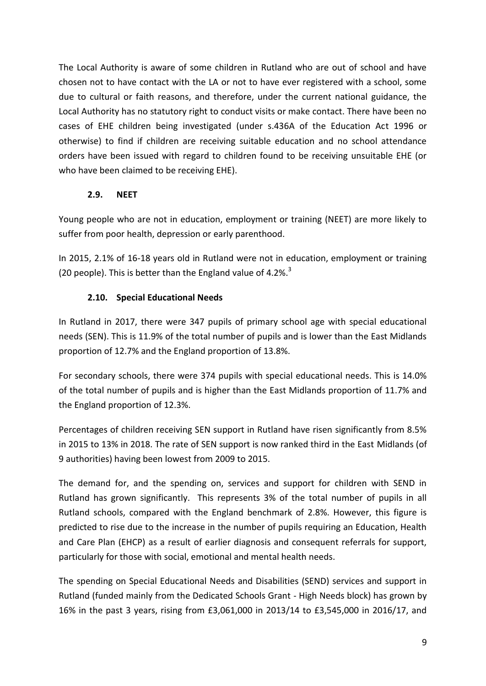The Local Authority is aware of some children in Rutland who are out of school and have chosen not to have contact with the LA or not to have ever registered with a school, some due to cultural or faith reasons, and therefore, under the current national guidance, the Local Authority has no statutory right to conduct visits or make contact. There have been no cases of EHE children being investigated (under s.436A of the Education Act 1996 or otherwise) to find if children are receiving suitable education and no school attendance orders have been issued with regard to children found to be receiving unsuitable EHE (or who have been claimed to be receiving EHE).

# **2.9. NEET**

Young people who are not in education, employment or training (NEET) are more likely to suffer from poor health, depression or early parenthood.

In 2015, 2.1% of 16-18 years old in Rutland were not in education, employment or training (20 people). This is better than the England value of 4.2%.<sup>[3](#page-6-1)</sup>

# **2.10. Special Educational Needs**

In Rutland in 2017, there were 347 pupils of primary school age with special educational needs (SEN). This is 11.9% of the total number of pupils and is lower than the East Midlands proportion of 12.7% and the England proportion of 13.8%.

For secondary schools, there were 374 pupils with special educational needs. This is 14.0% of the total number of pupils and is higher than the East Midlands proportion of 11.7% and the England proportion of 12.3%.

Percentages of children receiving SEN support in Rutland have risen significantly from 8.5% in 2015 to 13% in 2018. The rate of SEN support is now ranked third in the East Midlands (of 9 authorities) having been lowest from 2009 to 2015.

The demand for, and the spending on, services and support for children with SEND in Rutland has grown significantly. This represents 3% of the total number of pupils in all Rutland schools, compared with the England benchmark of 2.8%. However, this figure is predicted to rise due to the increase in the number of pupils requiring an Education, Health and Care Plan (EHCP) as a result of earlier diagnosis and consequent referrals for support, particularly for those with social, emotional and mental health needs.

The spending on Special Educational Needs and Disabilities (SEND) services and support in Rutland (funded mainly from the Dedicated Schools Grant - High Needs block) has grown by 16% in the past 3 years, rising from £3,061,000 in 2013/14 to £3,545,000 in 2016/17, and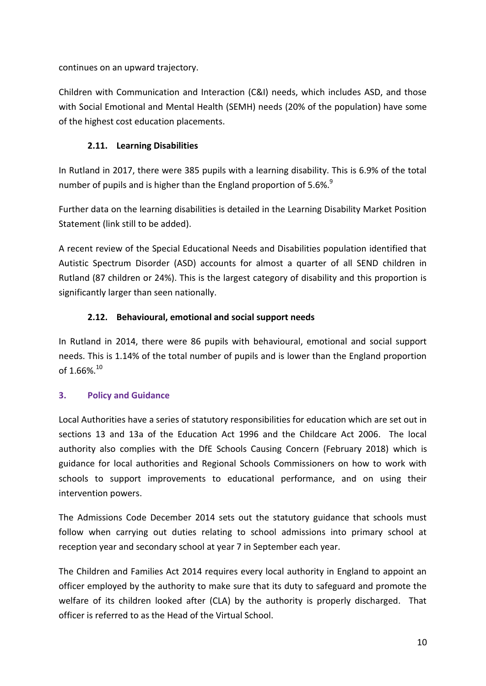continues on an upward trajectory.

Children with Communication and Interaction (C&I) needs, which includes ASD, and those with Social Emotional and Mental Health (SEMH) needs (20% of the population) have some of the highest cost education placements.

# **2.11. Learning Disabilities**

In Rutland in 2017, there were 385 pupils with a learning disability. This is 6.9% of the total number of pupils and is higher than the England proportion of 5.6%.<sup>9</sup>

Further data on the learning disabilities is detailed in the Learning Disability Market Position Statement (link still to be added).

A recent review of the Special Educational Needs and Disabilities population identified that Autistic Spectrum Disorder (ASD) accounts for almost a quarter of all SEND children in Rutland (87 children or 24%). This is the largest category of disability and this proportion is significantly larger than seen nationally.

# **2.12. Behavioural, emotional and social support needs**

In Rutland in 2014, there were 86 pupils with behavioural, emotional and social support needs. This is 1.14% of the total number of pupils and is lower than the England proportion of 1.66%.<sup>10</sup>

# <span id="page-14-0"></span>**3. Policy and Guidance**

Local Authorities have a series of statutory responsibilities for education which are set out in sections 13 and 13a of the Education Act 1996 and the Childcare Act 2006. The local authority also complies with the DfE Schools Causing Concern (February 2018) which is guidance for local authorities and Regional Schools Commissioners on how to work with schools to support improvements to educational performance, and on using their intervention powers.

The Admissions Code December 2014 sets out the statutory guidance that schools must follow when carrying out duties relating to school admissions into primary school at reception year and secondary school at year 7 in September each year.

The Children and Families Act 2014 requires every local authority in England to appoint an officer employed by the authority to make sure that its duty to safeguard and promote the welfare of its children looked after (CLA) by the authority is properly discharged. That officer is referred to as the Head of the Virtual School.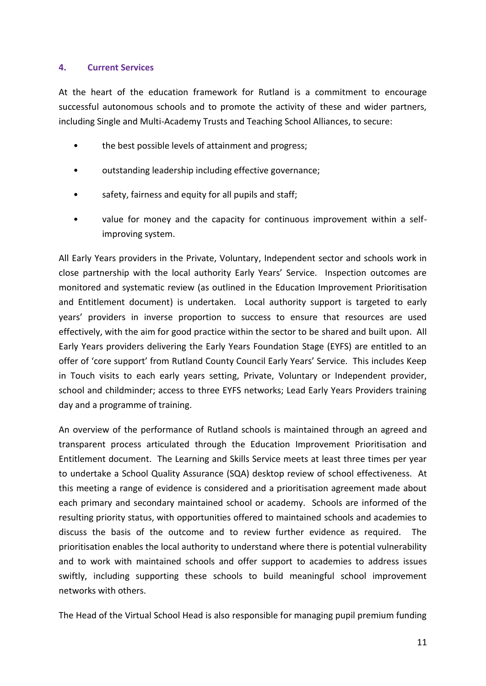#### <span id="page-15-0"></span>**4. Current Services**

At the heart of the education framework for Rutland is a commitment to encourage successful autonomous schools and to promote the activity of these and wider partners, including Single and Multi-Academy Trusts and Teaching School Alliances, to secure:

- the best possible levels of attainment and progress;
- outstanding leadership including effective governance;
- safety, fairness and equity for all pupils and staff;
- value for money and the capacity for continuous improvement within a selfimproving system.

All Early Years providers in the Private, Voluntary, Independent sector and schools work in close partnership with the local authority Early Years' Service. Inspection outcomes are monitored and systematic review (as outlined in the Education Improvement Prioritisation and Entitlement document) is undertaken. Local authority support is targeted to early years' providers in inverse proportion to success to ensure that resources are used effectively, with the aim for good practice within the sector to be shared and built upon. All Early Years providers delivering the Early Years Foundation Stage (EYFS) are entitled to an offer of 'core support' from Rutland County Council Early Years' Service. This includes Keep in Touch visits to each early years setting, Private, Voluntary or Independent provider, school and childminder; access to three EYFS networks; Lead Early Years Providers training day and a programme of training.

An overview of the performance of Rutland schools is maintained through an agreed and transparent process articulated through the Education Improvement Prioritisation and Entitlement document. The Learning and Skills Service meets at least three times per year to undertake a School Quality Assurance (SQA) desktop review of school effectiveness. At this meeting a range of evidence is considered and a prioritisation agreement made about each primary and secondary maintained school or academy. Schools are informed of the resulting priority status, with opportunities offered to maintained schools and academies to discuss the basis of the outcome and to review further evidence as required. The prioritisation enables the local authority to understand where there is potential vulnerability and to work with maintained schools and offer support to academies to address issues swiftly, including supporting these schools to build meaningful school improvement networks with others.

The Head of the Virtual School Head is also responsible for managing pupil premium funding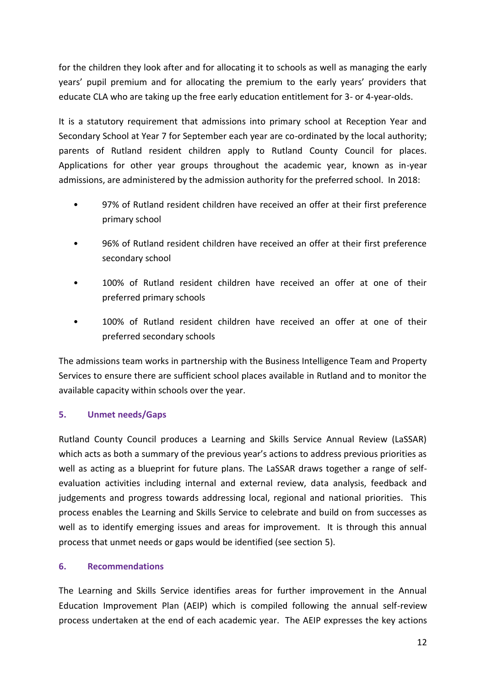for the children they look after and for allocating it to schools as well as managing the early years' pupil premium and for allocating the premium to the early years' providers that educate CLA who are taking up the free early education entitlement for 3- or 4-year-olds.

It is a statutory requirement that admissions into primary school at Reception Year and Secondary School at Year 7 for September each year are co-ordinated by the local authority; parents of Rutland resident children apply to Rutland County Council for places. Applications for other year groups throughout the academic year, known as in-year admissions, are administered by the admission authority for the preferred school. In 2018:

- 97% of Rutland resident children have received an offer at their first preference primary school
- 96% of Rutland resident children have received an offer at their first preference secondary school
- 100% of Rutland resident children have received an offer at one of their preferred primary schools
- 100% of Rutland resident children have received an offer at one of their preferred secondary schools

The admissions team works in partnership with the Business Intelligence Team and Property Services to ensure there are sufficient school places available in Rutland and to monitor the available capacity within schools over the year.

# <span id="page-16-0"></span>**5. Unmet needs/Gaps**

Rutland County Council produces a Learning and Skills Service Annual Review (LaSSAR) which acts as both a summary of the previous year's actions to address previous priorities as well as acting as a blueprint for future plans. The LaSSAR draws together a range of selfevaluation activities including internal and external review, data analysis, feedback and judgements and progress towards addressing local, regional and national priorities. This process enables the Learning and Skills Service to celebrate and build on from successes as well as to identify emerging issues and areas for improvement. It is through this annual process that unmet needs or gaps would be identified (see section 5).

### <span id="page-16-1"></span>**6. Recommendations**

The Learning and Skills Service identifies areas for further improvement in the Annual Education Improvement Plan (AEIP) which is compiled following the annual self-review process undertaken at the end of each academic year. The AEIP expresses the key actions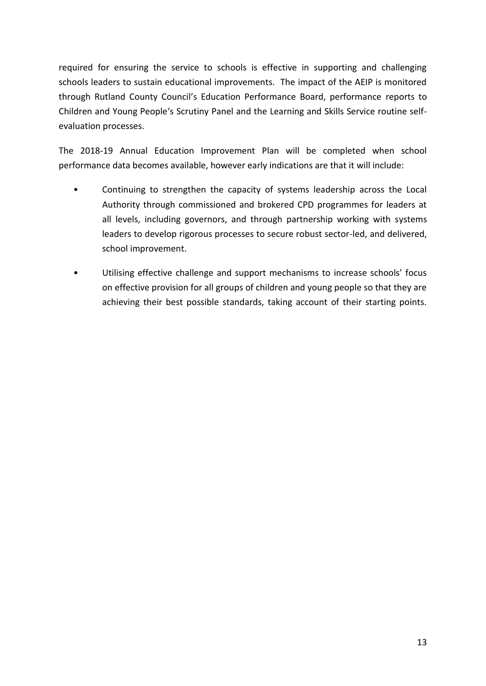required for ensuring the service to schools is effective in supporting and challenging schools leaders to sustain educational improvements. The impact of the AEIP is monitored through Rutland County Council's Education Performance Board, performance reports to Children and Young People's Scrutiny Panel and the Learning and Skills Service routine selfevaluation processes.

The 2018-19 Annual Education Improvement Plan will be completed when school performance data becomes available, however early indications are that it will include:

- Continuing to strengthen the capacity of systems leadership across the Local Authority through commissioned and brokered CPD programmes for leaders at all levels, including governors, and through partnership working with systems leaders to develop rigorous processes to secure robust sector-led, and delivered, school improvement.
- Utilising effective challenge and support mechanisms to increase schools' focus on effective provision for all groups of children and young people so that they are achieving their best possible standards, taking account of their starting points.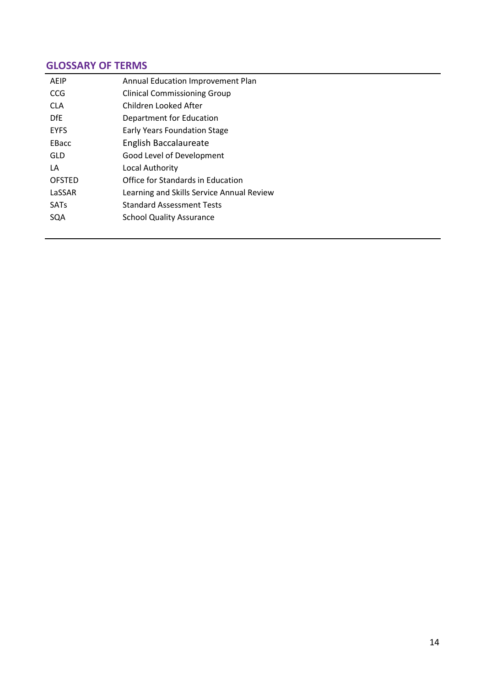# **GLOSSARY OF TERMS**

| AFIP          | Annual Education Improvement Plan         |
|---------------|-------------------------------------------|
| CCG           | <b>Clinical Commissioning Group</b>       |
| CLA.          | Children Looked After                     |
| <b>DfF</b>    | Department for Education                  |
| <b>EYFS</b>   | <b>Early Years Foundation Stage</b>       |
| <b>FBacc</b>  | English Baccalaureate                     |
| GLD           | Good Level of Development                 |
| LA            | Local Authority                           |
| <b>OFSTED</b> | Office for Standards in Education         |
| LaSSAR        | Learning and Skills Service Annual Review |
| <b>SATs</b>   | <b>Standard Assessment Tests</b>          |
| SOA           | <b>School Quality Assurance</b>           |
|               |                                           |